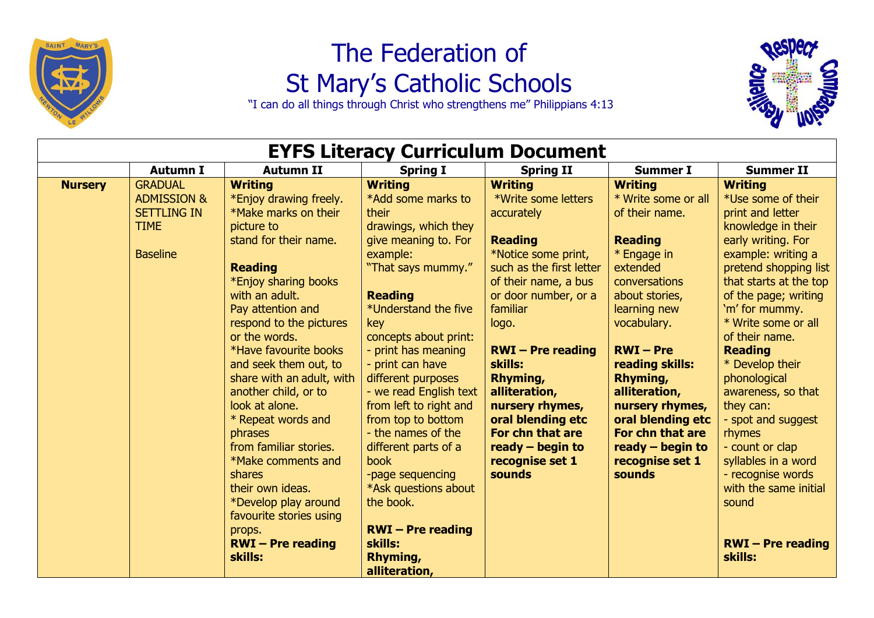

## The Federation of St Mary's Catholic Schools

"I can do all things through Christ who strengthens me" Philippians 4:13



| <b>EYFS Literacy Curriculum Document</b> |                                                                                                  |                                                                                                                                                                                                                                                                                                                                                                                                                                                                                                                                                                             |                                                                                                                                                                                                                                                                                                                                                                                                                                                                                                                                           |                                                                                                                                                                                                                                                                                                                                                                             |                                                                                                                                                                                                                                                                                                                                                      |                                                                                                                                                                                                                                                                                                                                                                                                                                                                                                                             |  |
|------------------------------------------|--------------------------------------------------------------------------------------------------|-----------------------------------------------------------------------------------------------------------------------------------------------------------------------------------------------------------------------------------------------------------------------------------------------------------------------------------------------------------------------------------------------------------------------------------------------------------------------------------------------------------------------------------------------------------------------------|-------------------------------------------------------------------------------------------------------------------------------------------------------------------------------------------------------------------------------------------------------------------------------------------------------------------------------------------------------------------------------------------------------------------------------------------------------------------------------------------------------------------------------------------|-----------------------------------------------------------------------------------------------------------------------------------------------------------------------------------------------------------------------------------------------------------------------------------------------------------------------------------------------------------------------------|------------------------------------------------------------------------------------------------------------------------------------------------------------------------------------------------------------------------------------------------------------------------------------------------------------------------------------------------------|-----------------------------------------------------------------------------------------------------------------------------------------------------------------------------------------------------------------------------------------------------------------------------------------------------------------------------------------------------------------------------------------------------------------------------------------------------------------------------------------------------------------------------|--|
|                                          | <b>Autumn I</b>                                                                                  | <b>Autumn II</b>                                                                                                                                                                                                                                                                                                                                                                                                                                                                                                                                                            | <b>Spring I</b>                                                                                                                                                                                                                                                                                                                                                                                                                                                                                                                           | <b>Spring II</b>                                                                                                                                                                                                                                                                                                                                                            | <b>Summer I</b>                                                                                                                                                                                                                                                                                                                                      | <b>Summer II</b>                                                                                                                                                                                                                                                                                                                                                                                                                                                                                                            |  |
| <b>Nursery</b>                           | <b>GRADUAL</b><br><b>ADMISSION &amp;</b><br><b>SETTLING IN</b><br><b>TIME</b><br><b>Baseline</b> | <b>Writing</b><br>*Enjoy drawing freely.<br>*Make marks on their<br>picture to<br>stand for their name.<br><b>Reading</b><br>*Enjoy sharing books<br>with an adult.<br>Pay attention and<br>respond to the pictures<br>or the words.<br>*Have favourite books<br>and seek them out, to<br>share with an adult, with<br>another child, or to<br>look at alone.<br>* Repeat words and<br>phrases<br>from familiar stories.<br>*Make comments and<br>shares<br>their own ideas.<br>*Develop play around<br>favourite stories using<br>props.<br>$RWI - Pre reading$<br>skills: | <b>Writing</b><br>*Add some marks to<br>their<br>drawings, which they<br>give meaning to. For<br>example:<br>"That says mummy."<br><b>Reading</b><br>*Understand the five<br>key<br>concepts about print:<br>- print has meaning<br>- print can have<br>different purposes<br>- we read English text<br>from left to right and<br>from top to bottom<br>- the names of the<br>different parts of a<br><b>book</b><br>-page sequencing<br>*Ask questions about<br>the book.<br>$RWI - Pre reading$<br>skills:<br>Rhyming,<br>alliteration, | <b>Writing</b><br>*Write some letters<br>accurately<br><b>Reading</b><br>*Notice some print,<br>such as the first letter<br>of their name, a bus<br>or door number, or a<br>familiar<br>logo.<br>$RWI - Pre reading$<br>skills:<br>Rhyming,<br>alliteration,<br>nursery rhymes,<br>oral blending etc<br>For chn that are<br>ready $-$ begin to<br>recognise set 1<br>sounds | <b>Writing</b><br>* Write some or all<br>of their name.<br><b>Reading</b><br>* Engage in<br>extended<br>conversations<br>about stories,<br>learning new<br>vocabulary.<br>$RWI - Pre$<br>reading skills:<br>Rhyming,<br>alliteration,<br>nursery rhymes,<br>oral blending etc<br>For chn that are<br>ready $-$ begin to<br>recognise set 1<br>sounds | <b>Writing</b><br>*Use some of their<br>print and letter<br>knowledge in their<br>early writing. For<br>example: writing a<br>pretend shopping list<br>that starts at the top<br>of the page; writing<br>'m' for mummy.<br>* Write some or all<br>of their name.<br><b>Reading</b><br>* Develop their<br>phonological<br>awareness, so that<br>they can:<br>- spot and suggest<br>rhymes<br>- count or clap<br>syllables in a word<br>- recognise words<br>with the same initial<br>sound<br>$RWI - Pre reading$<br>skills: |  |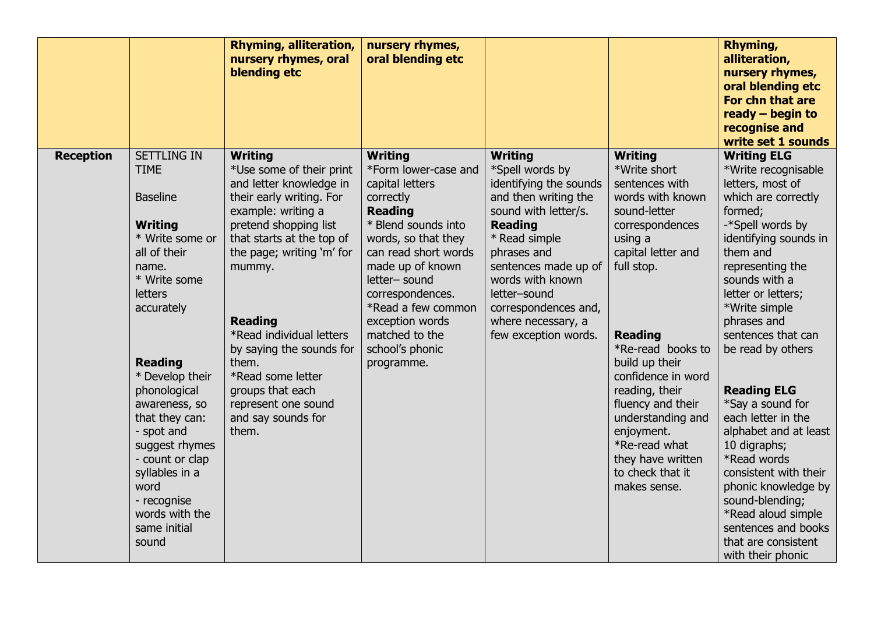|                                                                                                                                                                                                                                                                                                                                                                                                                       | <b>Rhyming, alliteration,</b><br>nursery rhymes, oral<br>blending etc                                                                                                                                                                                                                                                                                                                                  | nursery rhymes,<br>oral blending etc                                                                                                                                                                                                                                                                                |                                                                                                                                                                                                                                                                                                 |                                                                                                                                                                                                                                                                                                                                                                                           | Rhyming,<br>alliteration,<br>nursery rhymes,<br>oral blending etc<br>For chn that are<br>ready $-$ begin to<br>recognise and<br>write set 1 sounds                                                                                                                                                                                                                                                                                                                                                                                                                                 |
|-----------------------------------------------------------------------------------------------------------------------------------------------------------------------------------------------------------------------------------------------------------------------------------------------------------------------------------------------------------------------------------------------------------------------|--------------------------------------------------------------------------------------------------------------------------------------------------------------------------------------------------------------------------------------------------------------------------------------------------------------------------------------------------------------------------------------------------------|---------------------------------------------------------------------------------------------------------------------------------------------------------------------------------------------------------------------------------------------------------------------------------------------------------------------|-------------------------------------------------------------------------------------------------------------------------------------------------------------------------------------------------------------------------------------------------------------------------------------------------|-------------------------------------------------------------------------------------------------------------------------------------------------------------------------------------------------------------------------------------------------------------------------------------------------------------------------------------------------------------------------------------------|------------------------------------------------------------------------------------------------------------------------------------------------------------------------------------------------------------------------------------------------------------------------------------------------------------------------------------------------------------------------------------------------------------------------------------------------------------------------------------------------------------------------------------------------------------------------------------|
| <b>SETTLING IN</b><br><b>Reception</b><br><b>TIME</b><br><b>Baseline</b><br><b>Writing</b><br>* Write some or<br>all of their<br>name.<br>* Write some<br><b>letters</b><br>accurately<br><b>Reading</b><br>* Develop their<br>phonological<br>awareness, so<br>that they can:<br>- spot and<br>suggest rhymes<br>- count or clap<br>syllables in a<br>word<br>- recognise<br>words with the<br>same initial<br>sound | <b>Writing</b><br>*Use some of their print<br>and letter knowledge in<br>their early writing. For<br>example: writing a<br>pretend shopping list<br>that starts at the top of<br>the page; writing 'm' for<br>mummy.<br><b>Reading</b><br>*Read individual letters<br>by saying the sounds for<br>them.<br>*Read some letter<br>groups that each<br>represent one sound<br>and say sounds for<br>them. | <b>Writing</b><br>*Form lower-case and<br>capital letters<br>correctly<br><b>Reading</b><br>* Blend sounds into<br>words, so that they<br>can read short words<br>made up of known<br>letter- sound<br>correspondences.<br>*Read a few common<br>exception words<br>matched to the<br>school's phonic<br>programme. | <b>Writing</b><br>*Spell words by<br>identifying the sounds<br>and then writing the<br>sound with letter/s.<br><b>Reading</b><br>* Read simple<br>phrases and<br>sentences made up of<br>words with known<br>letter-sound<br>correspondences and,<br>where necessary, a<br>few exception words. | <b>Writing</b><br>*Write short<br>sentences with<br>words with known<br>sound-letter<br>correspondences<br>using a<br>capital letter and<br>full stop.<br><b>Reading</b><br>*Re-read books to<br>build up their<br>confidence in word<br>reading, their<br>fluency and their<br>understanding and<br>enjoyment.<br>*Re-read what<br>they have written<br>to check that it<br>makes sense. | <b>Writing ELG</b><br>*Write recognisable<br>letters, most of<br>which are correctly<br>formed;<br>-*Spell words by<br>identifying sounds in<br>them and<br>representing the<br>sounds with a<br>letter or letters;<br>*Write simple<br>phrases and<br>sentences that can<br>be read by others<br><b>Reading ELG</b><br>*Say a sound for<br>each letter in the<br>alphabet and at least<br>10 digraphs;<br>*Read words<br>consistent with their<br>phonic knowledge by<br>sound-blending;<br>*Read aloud simple<br>sentences and books<br>that are consistent<br>with their phonic |